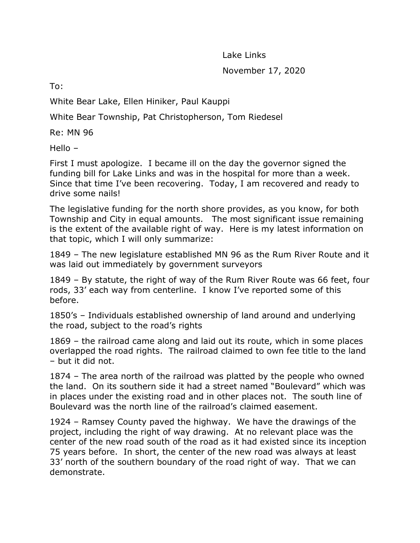Lake Links November 17, 2020

To:

White Bear Lake, Ellen Hiniker, Paul Kauppi

White Bear Township, Pat Christopherson, Tom Riedesel

Re: MN 96

Hello –

First I must apologize. I became ill on the day the governor signed the funding bill for Lake Links and was in the hospital for more than a week. Since that time I've been recovering. Today, I am recovered and ready to drive some nails!

The legislative funding for the north shore provides, as you know, for both Township and City in equal amounts. The most significant issue remaining is the extent of the available right of way. Here is my latest information on that topic, which I will only summarize:

1849 – The new legislature established MN 96 as the Rum River Route and it was laid out immediately by government surveyors

1849 – By statute, the right of way of the Rum River Route was 66 feet, four rods, 33' each way from centerline. I know I've reported some of this before.

1850's – Individuals established ownership of land around and underlying the road, subject to the road's rights

1869 – the railroad came along and laid out its route, which in some places overlapped the road rights. The railroad claimed to own fee title to the land – but it did not.

1874 – The area north of the railroad was platted by the people who owned the land. On its southern side it had a street named "Boulevard" which was in places under the existing road and in other places not. The south line of Boulevard was the north line of the railroad's claimed easement.

1924 – Ramsey County paved the highway. We have the drawings of the project, including the right of way drawing. At no relevant place was the center of the new road south of the road as it had existed since its inception 75 years before. In short, the center of the new road was always at least 33' north of the southern boundary of the road right of way. That we can demonstrate.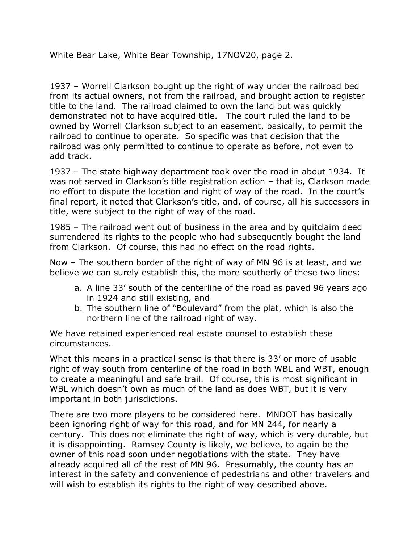White Bear Lake, White Bear Township, 17NOV20, page 2.

1937 – Worrell Clarkson bought up the right of way under the railroad bed from its actual owners, not from the railroad, and brought action to register title to the land. The railroad claimed to own the land but was quickly demonstrated not to have acquired title. The court ruled the land to be owned by Worrell Clarkson subject to an easement, basically, to permit the railroad to continue to operate. So specific was that decision that the railroad was only permitted to continue to operate as before, not even to add track.

1937 – The state highway department took over the road in about 1934. It was not served in Clarkson's title registration action – that is, Clarkson made no effort to dispute the location and right of way of the road. In the court's final report, it noted that Clarkson's title, and, of course, all his successors in title, were subject to the right of way of the road.

1985 – The railroad went out of business in the area and by quitclaim deed surrendered its rights to the people who had subsequently bought the land from Clarkson. Of course, this had no effect on the road rights.

Now – The southern border of the right of way of MN 96 is at least, and we believe we can surely establish this, the more southerly of these two lines:

- a. A line 33' south of the centerline of the road as paved 96 years ago in 1924 and still existing, and
- b. The southern line of "Boulevard" from the plat, which is also the northern line of the railroad right of way.

We have retained experienced real estate counsel to establish these circumstances.

What this means in a practical sense is that there is 33' or more of usable right of way south from centerline of the road in both WBL and WBT, enough to create a meaningful and safe trail. Of course, this is most significant in WBL which doesn't own as much of the land as does WBT, but it is very important in both jurisdictions.

There are two more players to be considered here. MNDOT has basically been ignoring right of way for this road, and for MN 244, for nearly a century. This does not eliminate the right of way, which is very durable, but it is disappointing. Ramsey County is likely, we believe, to again be the owner of this road soon under negotiations with the state. They have already acquired all of the rest of MN 96. Presumably, the county has an interest in the safety and convenience of pedestrians and other travelers and will wish to establish its rights to the right of way described above.